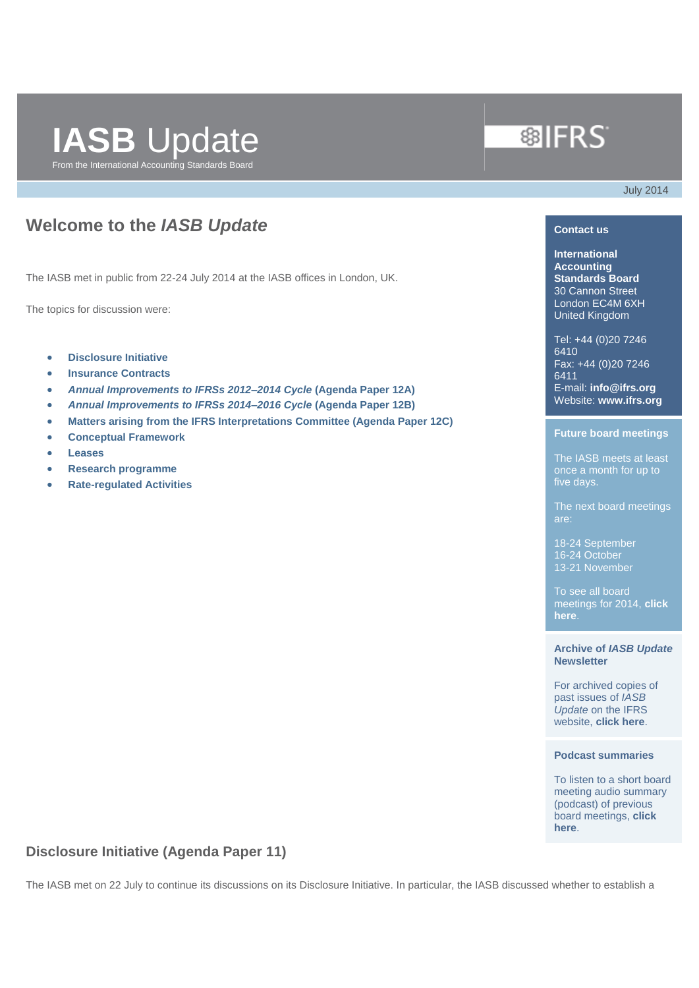# **IASB** Update From the International Accounting Standards Board

# **®IFRS**

July 2014

## **Welcome to the** *IASB Update*

The IASB met in public from 22-24 July 2014 at the IASB offices in London, UK.

The topics for discussion were:

- **[Disclosure Initiative](#page-0-0)**
- **[Insurance Contracts](#page-2-0)**
- *[Annual Improvements to IFRSs 2012–2014 Cycle](#page-3-0)* **(Agenda Paper 12A)**
- *[Annual Improvements to IFRSs 2014–2016 Cycle](#page-4-0)* **(Agenda Paper 12B)**
- **[Matters arising from the IFRS Interpretations Committee \(Agenda Paper 12C\)](#page-4-1)**
- **[Conceptual Framework](#page-5-0)**
- **[Leases](#page-10-0)**
- **[Research programme](#page-12-0)**
- **[Rate-regulated Activities](#page-12-1)**

### **Contact us**

**International Accounting Standards Board** 30 Cannon Street London EC4M 6XH United Kingdom

Tel: +44 (0)20 7246 6410 Fax: +44 (0)20 7246 6411 E-mail: **[info@ifrs.org](mailto:info@ifrs.org)** Website: **[www.ifrs.org](http://www.ifrs.org/)**

#### **Future board meetings**

The IASB meets at least once a month for up to five days.

The next board meetings

18-24 September 16-24 October 13-21 November

To see all board meetings for 2014, **[click](http://www.ifrs.org/The-organisation/Pages/IASB-meetings.aspx)  [here](http://www.ifrs.org/The-organisation/Pages/IASB-meetings.aspx)**.

### **Archive of** *IASB Update* **Newsletter**

For archived copies of past issues of *IASB Update* on the IFRS website, **[click here](http://www.ifrs.org/Updates/IASB-Updates/Pages/IASB-Updates.aspx)**.

### **Podcast summaries**

To listen to a short board meeting audio summary (podcast) of previous board meetings, **[click](http://www.ifrs.org/Updates/Podcast-summaries/Pages/Podcast-summaries.aspx)  [here](http://www.ifrs.org/Updates/Podcast-summaries/Pages/Podcast-summaries.aspx)**.

### <span id="page-0-0"></span>**Disclosure Initiative (Agenda Paper 11)**

The IASB met on 22 July to continue its discussions on its Disclosure Initiative. In particular, the IASB discussed whether to establish a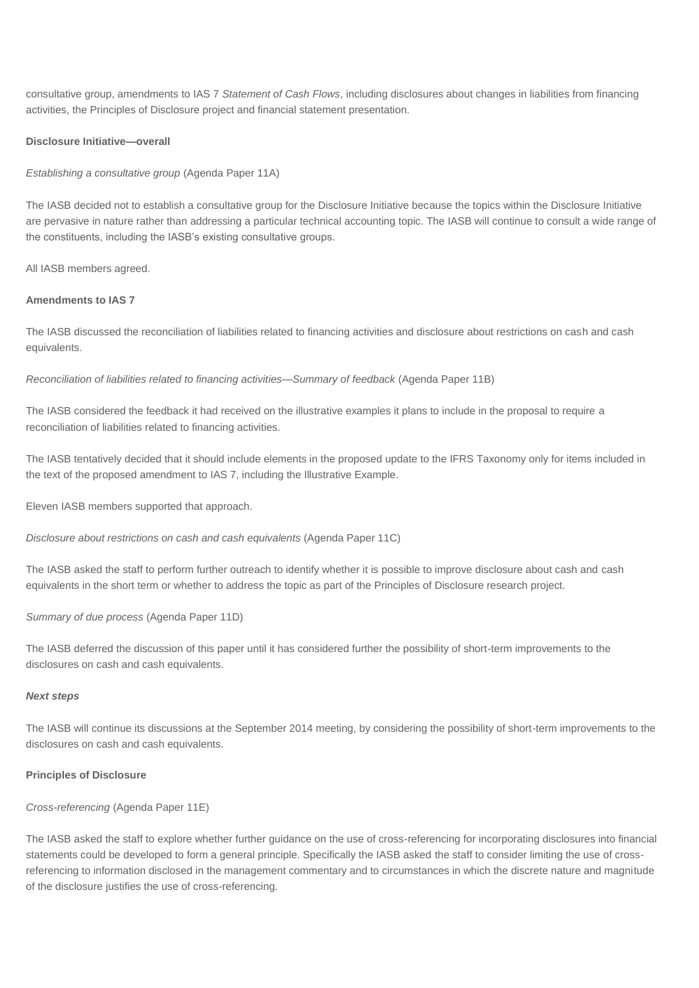consultative group, amendments to IAS 7 *Statement of Cash Flows*, including disclosures about changes in liabilities from financing activities, the Principles of Disclosure project and financial statement presentation.

### **Disclosure Initiative—overall**

*Establishing a consultative group* (Agenda Paper 11A)

The IASB decided not to establish a consultative group for the Disclosure Initiative because the topics within the Disclosure Initiative are pervasive in nature rather than addressing a particular technical accounting topic. The IASB will continue to consult a wide range of the constituents, including the IASB's existing consultative groups.

All IASB members agreed.

### **Amendments to IAS 7**

The IASB discussed the reconciliation of liabilities related to financing activities and disclosure about restrictions on cash and cash equivalents.

*Reconciliation of liabilities related to financing activities—Summary of feedback* (Agenda Paper 11B)

The IASB considered the feedback it had received on the illustrative examples it plans to include in the proposal to require a reconciliation of liabilities related to financing activities.

The IASB tentatively decided that it should include elements in the proposed update to the IFRS Taxonomy only for items included in the text of the proposed amendment to IAS 7, including the Illustrative Example.

Eleven IASB members supported that approach.

*Disclosure about restrictions on cash and cash equivalents* (Agenda Paper 11C)

The IASB asked the staff to perform further outreach to identify whether it is possible to improve disclosure about cash and cash equivalents in the short term or whether to address the topic as part of the Principles of Disclosure research project.

*Summary of due process* (Agenda Paper 11D)

The IASB deferred the discussion of this paper until it has considered further the possibility of short-term improvements to the disclosures on cash and cash equivalents.

#### *Next steps*

The IASB will continue its discussions at the September 2014 meeting, by considering the possibility of short-term improvements to the disclosures on cash and cash equivalents.

### **Principles of Disclosure**

### *Cross-referencing* (Agenda Paper 11E)

The IASB asked the staff to explore whether further guidance on the use of cross-referencing for incorporating disclosures into financial statements could be developed to form a general principle. Specifically the IASB asked the staff to consider limiting the use of crossreferencing to information disclosed in the management commentary and to circumstances in which the discrete nature and magnitude of the disclosure justifies the use of cross-referencing.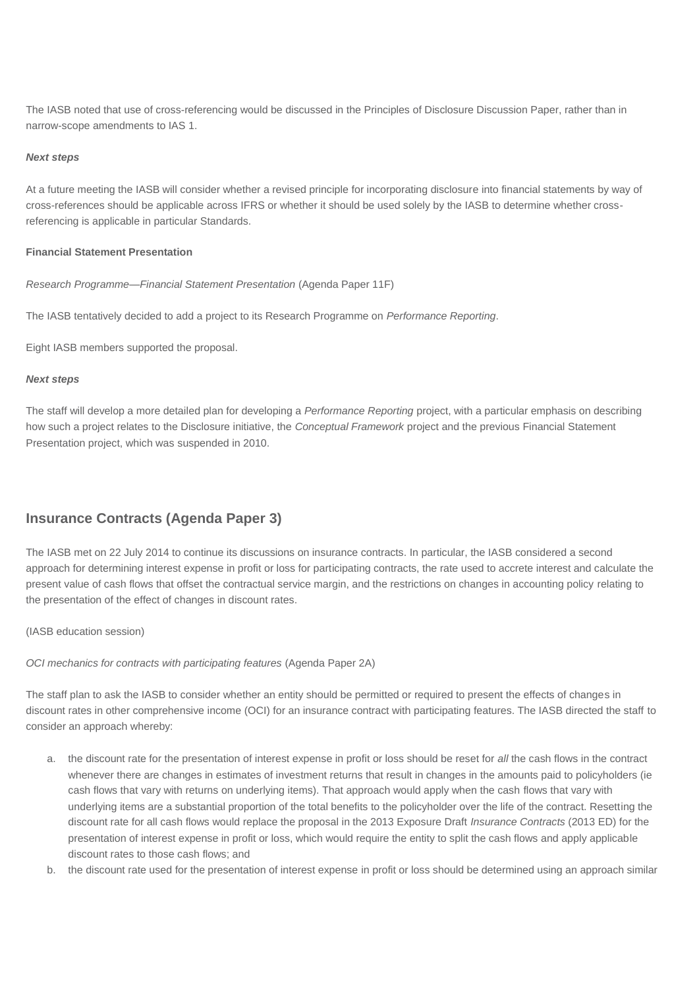The IASB noted that use of cross-referencing would be discussed in the Principles of Disclosure Discussion Paper, rather than in narrow-scope amendments to IAS 1.

### *Next steps*

At a future meeting the IASB will consider whether a revised principle for incorporating disclosure into financial statements by way of cross-references should be applicable across IFRS or whether it should be used solely by the IASB to determine whether crossreferencing is applicable in particular Standards.

### **Financial Statement Presentation**

*Research Programme—Financial Statement Presentation* (Agenda Paper 11F)

The IASB tentatively decided to add a project to its Research Programme on *Performance Reporting*.

Eight IASB members supported the proposal.

### *Next steps*

The staff will develop a more detailed plan for developing a *Performance Reporting* project, with a particular emphasis on describing how such a project relates to the Disclosure initiative, the *Conceptual Framework* project and the previous Financial Statement Presentation project, which was suspended in 2010.

### <span id="page-2-0"></span>**Insurance Contracts (Agenda Paper 3)**

The IASB met on 22 July 2014 to continue its discussions on insurance contracts. In particular, the IASB considered a second approach for determining interest expense in profit or loss for participating contracts, the rate used to accrete interest and calculate the present value of cash flows that offset the contractual service margin, and the restrictions on changes in accounting policy relating to the presentation of the effect of changes in discount rates.

### (IASB education session)

### *OCI mechanics for contracts with participating features* (Agenda Paper 2A)

The staff plan to ask the IASB to consider whether an entity should be permitted or required to present the effects of changes in discount rates in other comprehensive income (OCI) for an insurance contract with participating features. The IASB directed the staff to consider an approach whereby:

- a. the discount rate for the presentation of interest expense in profit or loss should be reset for *all* the cash flows in the contract whenever there are changes in estimates of investment returns that result in changes in the amounts paid to policyholders (ie cash flows that vary with returns on underlying items). That approach would apply when the cash flows that vary with underlying items are a substantial proportion of the total benefits to the policyholder over the life of the contract. Resetting the discount rate for all cash flows would replace the proposal in the 2013 Exposure Draft *Insurance Contracts* (2013 ED) for the presentation of interest expense in profit or loss, which would require the entity to split the cash flows and apply applicable discount rates to those cash flows; and
- b. the discount rate used for the presentation of interest expense in profit or loss should be determined using an approach similar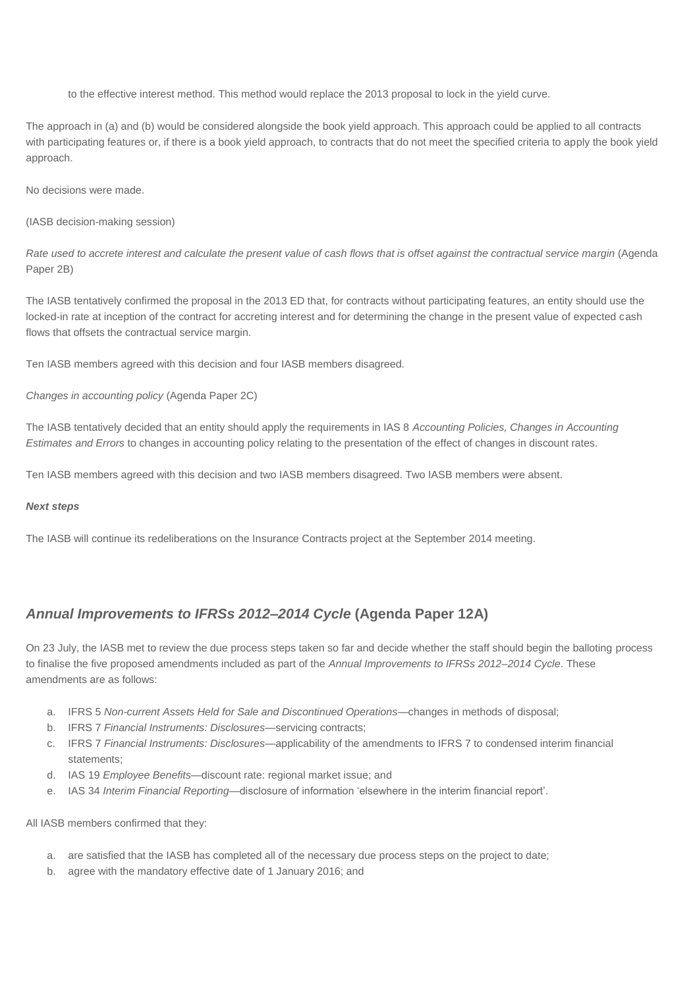to the effective interest method. This method would replace the 2013 proposal to lock in the yield curve.

The approach in (a) and (b) would be considered alongside the book yield approach. This approach could be applied to all contracts with participating features or, if there is a book yield approach, to contracts that do not meet the specified criteria to apply the book yield approach.

No decisions were made.

(IASB decision-making session)

*Rate used to accrete interest and calculate the present value of cash flows that is offset against the contractual service margin* (Agenda Paper 2B)

The IASB tentatively confirmed the proposal in the 2013 ED that, for contracts without participating features, an entity should use the locked-in rate at inception of the contract for accreting interest and for determining the change in the present value of expected cash flows that offsets the contractual service margin.

Ten IASB members agreed with this decision and four IASB members disagreed.

*Changes in accounting policy* (Agenda Paper 2C)

The IASB tentatively decided that an entity should apply the requirements in IAS 8 *Accounting Policies, Changes in Accounting Estimates and Errors* to changes in accounting policy relating to the presentation of the effect of changes in discount rates.

Ten IASB members agreed with this decision and two IASB members disagreed. Two IASB members were absent.

#### *Next steps*

The IASB will continue its redeliberations on the Insurance Contracts project at the September 2014 meeting.

### <span id="page-3-0"></span>*Annual Improvements to IFRSs 2012–2014 Cycle* **(Agenda Paper 12A)**

On 23 July, the IASB met to review the due process steps taken so far and decide whether the staff should begin the balloting process to finalise the five proposed amendments included as part of the *Annual Improvements to IFRSs 2012–2014 Cycle*. These amendments are as follows:

- a. IFRS 5 *Non-current Assets Held for Sale and Discontinued Operations*—changes in methods of disposal;
- b. IFRS 7 *Financial Instruments: Disclosures*—servicing contracts;
- c. IFRS 7 *Financial Instruments: Disclosures*—applicability of the amendments to IFRS 7 to condensed interim financial statements;
- d. IAS 19 *Employee Benefits*—discount rate: regional market issue; and
- e. IAS 34 *Interim Financial Reporting*—disclosure of information 'elsewhere in the interim financial report'.

All IASB members confirmed that they:

- a. are satisfied that the IASB has completed all of the necessary due process steps on the project to date;
- b. agree with the mandatory effective date of 1 January 2016; and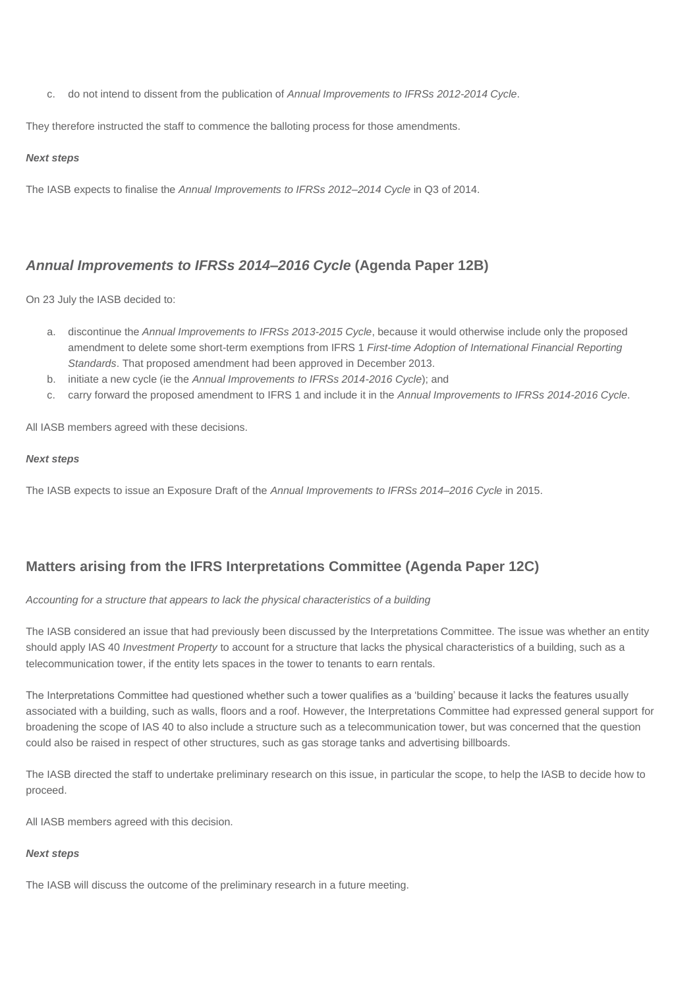c. do not intend to dissent from the publication of *Annual Improvements to IFRSs 2012-2014 Cycle*.

They therefore instructed the staff to commence the balloting process for those amendments.

### *Next steps*

The IASB expects to finalise the *Annual Improvements to IFRSs 2012–2014 Cycle* in Q3 of 2014.

### <span id="page-4-0"></span>*Annual Improvements to IFRSs 2014–2016 Cycle* **(Agenda Paper 12B)**

On 23 July the IASB decided to:

- a. discontinue the *Annual Improvements to IFRSs 2013-2015 Cycle*, because it would otherwise include only the proposed amendment to delete some short-term exemptions from IFRS 1 *First-time Adoption of International Financial Reporting Standards*. That proposed amendment had been approved in December 2013.
- b. initiate a new cycle (ie the *Annual Improvements to IFRSs 2014-2016 Cycle*); and
- c. carry forward the proposed amendment to IFRS 1 and include it in the *Annual Improvements to IFRSs 2014-2016 Cycle*.

All IASB members agreed with these decisions.

### *Next steps*

The IASB expects to issue an Exposure Draft of the *Annual Improvements to IFRSs 2014–2016 Cycle* in 2015.

### <span id="page-4-1"></span>**Matters arising from the IFRS Interpretations Committee (Agenda Paper 12C)**

### *Accounting for a structure that appears to lack the physical characteristics of a building*

The IASB considered an issue that had previously been discussed by the Interpretations Committee. The issue was whether an entity should apply IAS 40 *Investment Property* to account for a structure that lacks the physical characteristics of a building, such as a telecommunication tower, if the entity lets spaces in the tower to tenants to earn rentals.

The Interpretations Committee had questioned whether such a tower qualifies as a 'building' because it lacks the features usually associated with a building, such as walls, floors and a roof. However, the Interpretations Committee had expressed general support for broadening the scope of IAS 40 to also include a structure such as a telecommunication tower, but was concerned that the question could also be raised in respect of other structures, such as gas storage tanks and advertising billboards.

The IASB directed the staff to undertake preliminary research on this issue, in particular the scope, to help the IASB to decide how to proceed.

All IASB members agreed with this decision.

### *Next steps*

The IASB will discuss the outcome of the preliminary research in a future meeting.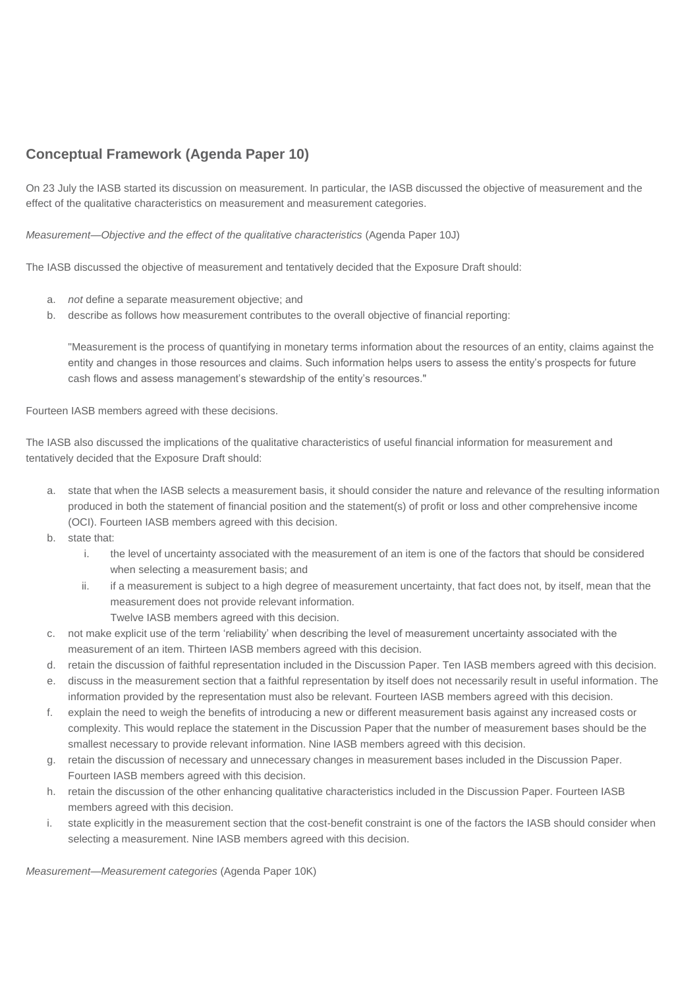### <span id="page-5-0"></span>**Conceptual Framework (Agenda Paper 10)**

On 23 July the IASB started its discussion on measurement. In particular, the IASB discussed the objective of measurement and the effect of the qualitative characteristics on measurement and measurement categories.

*Measurement—Objective and the effect of the qualitative characteristics* (Agenda Paper 10J)

The IASB discussed the objective of measurement and tentatively decided that the Exposure Draft should:

- a. *not* define a separate measurement objective; and
- b. describe as follows how measurement contributes to the overall objective of financial reporting:

"Measurement is the process of quantifying in monetary terms information about the resources of an entity, claims against the entity and changes in those resources and claims. Such information helps users to assess the entity's prospects for future cash flows and assess management's stewardship of the entity's resources."

Fourteen IASB members agreed with these decisions.

The IASB also discussed the implications of the qualitative characteristics of useful financial information for measurement and tentatively decided that the Exposure Draft should:

- a. state that when the IASB selects a measurement basis, it should consider the nature and relevance of the resulting information produced in both the statement of financial position and the statement(s) of profit or loss and other comprehensive income (OCI). Fourteen IASB members agreed with this decision.
- b. state that:
	- i. the level of uncertainty associated with the measurement of an item is one of the factors that should be considered when selecting a measurement basis; and
	- ii. if a measurement is subject to a high degree of measurement uncertainty, that fact does not, by itself, mean that the measurement does not provide relevant information.
		- Twelve IASB members agreed with this decision.
- c. not make explicit use of the term 'reliability' when describing the level of measurement uncertainty associated with the measurement of an item. Thirteen IASB members agreed with this decision.
- d. retain the discussion of faithful representation included in the Discussion Paper. Ten IASB members agreed with this decision.
- e. discuss in the measurement section that a faithful representation by itself does not necessarily result in useful information. The information provided by the representation must also be relevant. Fourteen IASB members agreed with this decision.
- f. explain the need to weigh the benefits of introducing a new or different measurement basis against any increased costs or complexity. This would replace the statement in the Discussion Paper that the number of measurement bases should be the smallest necessary to provide relevant information. Nine IASB members agreed with this decision.
- g. retain the discussion of necessary and unnecessary changes in measurement bases included in the Discussion Paper. Fourteen IASB members agreed with this decision.
- h. retain the discussion of the other enhancing qualitative characteristics included in the Discussion Paper. Fourteen IASB members agreed with this decision.
- i. state explicitly in the measurement section that the cost-benefit constraint is one of the factors the IASB should consider when selecting a measurement. Nine IASB members agreed with this decision.

*Measurement—Measurement categories* (Agenda Paper 10K)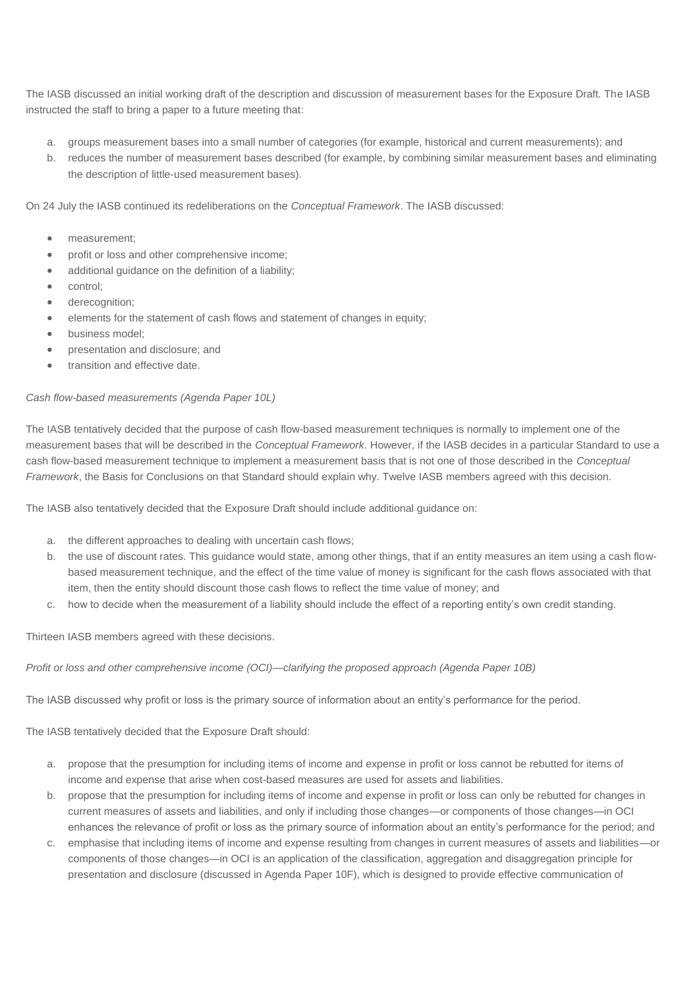The IASB discussed an initial working draft of the description and discussion of measurement bases for the Exposure Draft. The IASB instructed the staff to bring a paper to a future meeting that:

- a. groups measurement bases into a small number of categories (for example, historical and current measurements); and
- b. reduces the number of measurement bases described (for example, by combining similar measurement bases and eliminating the description of little-used measurement bases).

On 24 July the IASB continued its redeliberations on the *Conceptual Framework*. The IASB discussed:

- measurement;
- profit or loss and other comprehensive income;
- additional guidance on the definition of a liability;
- control;
- derecognition;
- elements for the statement of cash flows and statement of changes in equity;
- business model:
- presentation and disclosure; and
- transition and effective date.

### *Cash flow-based measurements (Agenda Paper 10L)*

The IASB tentatively decided that the purpose of cash flow-based measurement techniques is normally to implement one of the measurement bases that will be described in the *Conceptual Framework*. However, if the IASB decides in a particular Standard to use a cash flow-based measurement technique to implement a measurement basis that is not one of those described in the *Conceptual Framework*, the Basis for Conclusions on that Standard should explain why. Twelve IASB members agreed with this decision.

The IASB also tentatively decided that the Exposure Draft should include additional guidance on:

- a. the different approaches to dealing with uncertain cash flows;
- b. the use of discount rates. This guidance would state, among other things, that if an entity measures an item using a cash flowbased measurement technique, and the effect of the time value of money is significant for the cash flows associated with that item, then the entity should discount those cash flows to reflect the time value of money; and
- c. how to decide when the measurement of a liability should include the effect of a reporting entity's own credit standing.

Thirteen IASB members agreed with these decisions.

*Profit or loss and other comprehensive income (OCI)—clarifying the proposed approach (Agenda Paper 10B)*

The IASB discussed why profit or loss is the primary source of information about an entity's performance for the period.

The IASB tentatively decided that the Exposure Draft should:

- a. propose that the presumption for including items of income and expense in profit or loss cannot be rebutted for items of income and expense that arise when cost-based measures are used for assets and liabilities.
- b. propose that the presumption for including items of income and expense in profit or loss can only be rebutted for changes in current measures of assets and liabilities, and only if including those changes—or components of those changes—in OCI enhances the relevance of profit or loss as the primary source of information about an entity's performance for the period; and
- c. emphasise that including items of income and expense resulting from changes in current measures of assets and liabilities—or components of those changes—in OCI is an application of the classification, aggregation and disaggregation principle for presentation and disclosure (discussed in Agenda Paper 10F), which is designed to provide effective communication of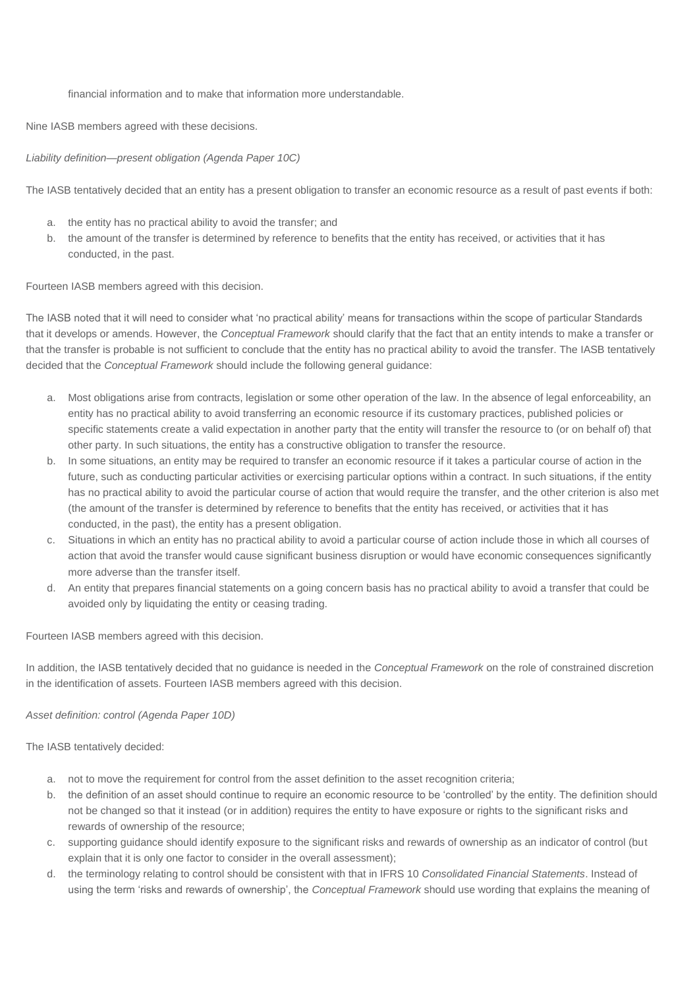### financial information and to make that information more understandable.

Nine IASB members agreed with these decisions.

### *Liability definition—present obligation (Agenda Paper 10C)*

The IASB tentatively decided that an entity has a present obligation to transfer an economic resource as a result of past events if both:

- a. the entity has no practical ability to avoid the transfer; and
- b. the amount of the transfer is determined by reference to benefits that the entity has received, or activities that it has conducted, in the past.

Fourteen IASB members agreed with this decision.

The IASB noted that it will need to consider what 'no practical ability' means for transactions within the scope of particular Standards that it develops or amends. However, the *Conceptual Framework* should clarify that the fact that an entity intends to make a transfer or that the transfer is probable is not sufficient to conclude that the entity has no practical ability to avoid the transfer. The IASB tentatively decided that the *Conceptual Framework* should include the following general guidance:

- a. Most obligations arise from contracts, legislation or some other operation of the law. In the absence of legal enforceability, an entity has no practical ability to avoid transferring an economic resource if its customary practices, published policies or specific statements create a valid expectation in another party that the entity will transfer the resource to (or on behalf of) that other party. In such situations, the entity has a constructive obligation to transfer the resource.
- b. In some situations, an entity may be required to transfer an economic resource if it takes a particular course of action in the future, such as conducting particular activities or exercising particular options within a contract. In such situations, if the entity has no practical ability to avoid the particular course of action that would require the transfer, and the other criterion is also met (the amount of the transfer is determined by reference to benefits that the entity has received, or activities that it has conducted, in the past), the entity has a present obligation.
- c. Situations in which an entity has no practical ability to avoid a particular course of action include those in which all courses of action that avoid the transfer would cause significant business disruption or would have economic consequences significantly more adverse than the transfer itself.
- d. An entity that prepares financial statements on a going concern basis has no practical ability to avoid a transfer that could be avoided only by liquidating the entity or ceasing trading.

Fourteen IASB members agreed with this decision.

In addition, the IASB tentatively decided that no guidance is needed in the *Conceptual Framework* on the role of constrained discretion in the identification of assets. Fourteen IASB members agreed with this decision.

*Asset definition: control (Agenda Paper 10D)*

The IASB tentatively decided:

- a. not to move the requirement for control from the asset definition to the asset recognition criteria;
- b. the definition of an asset should continue to require an economic resource to be 'controlled' by the entity. The definition should not be changed so that it instead (or in addition) requires the entity to have exposure or rights to the significant risks and rewards of ownership of the resource;
- c. supporting guidance should identify exposure to the significant risks and rewards of ownership as an indicator of control (but explain that it is only one factor to consider in the overall assessment);
- d. the terminology relating to control should be consistent with that in IFRS 10 *Consolidated Financial Statements*. Instead of using the term 'risks and rewards of ownership', the *Conceptual Framework* should use wording that explains the meaning of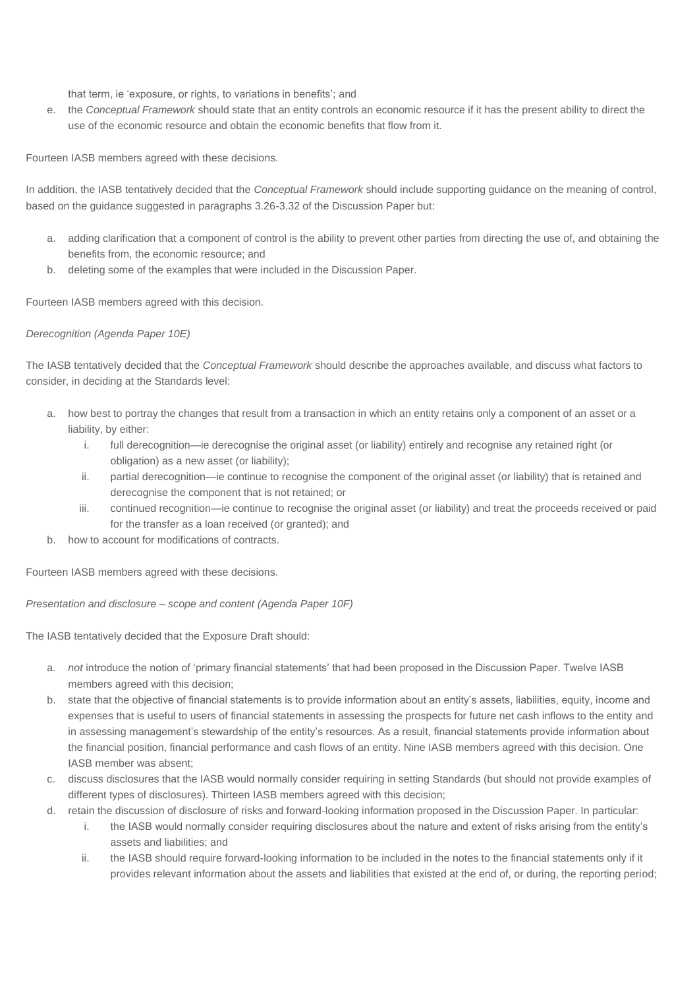that term, ie 'exposure, or rights, to variations in benefits'; and

e. the *Conceptual Framework* should state that an entity controls an economic resource if it has the present ability to direct the use of the economic resource and obtain the economic benefits that flow from it.

Fourteen IASB members agreed with these decisions.

In addition, the IASB tentatively decided that the *Conceptual Framework* should include supporting guidance on the meaning of control, based on the guidance suggested in paragraphs 3.26-3.32 of the Discussion Paper but:

- a. adding clarification that a component of control is the ability to prevent other parties from directing the use of, and obtaining the benefits from, the economic resource; and
- b. deleting some of the examples that were included in the Discussion Paper.

Fourteen IASB members agreed with this decision.

### *Derecognition (Agenda Paper 10E)*

The IASB tentatively decided that the *Conceptual Framework* should describe the approaches available, and discuss what factors to consider, in deciding at the Standards level:

- a. how best to portray the changes that result from a transaction in which an entity retains only a component of an asset or a liability, by either:
	- i. full derecognition—ie derecognise the original asset (or liability) entirely and recognise any retained right (or obligation) as a new asset (or liability);
	- ii. partial derecognition—ie continue to recognise the component of the original asset (or liability) that is retained and derecognise the component that is not retained; or
	- iii. continued recognition—ie continue to recognise the original asset (or liability) and treat the proceeds received or paid for the transfer as a loan received (or granted); and
- b. how to account for modifications of contracts.

Fourteen IASB members agreed with these decisions.

*Presentation and disclosure – scope and content (Agenda Paper 10F)*

The IASB tentatively decided that the Exposure Draft should:

- a. *not* introduce the notion of 'primary financial statements' that had been proposed in the Discussion Paper. Twelve IASB members agreed with this decision;
- b. state that the objective of financial statements is to provide information about an entity's assets, liabilities, equity, income and expenses that is useful to users of financial statements in assessing the prospects for future net cash inflows to the entity and in assessing management's stewardship of the entity's resources. As a result, financial statements provide information about the financial position, financial performance and cash flows of an entity. Nine IASB members agreed with this decision. One IASB member was absent;
- c. discuss disclosures that the IASB would normally consider requiring in setting Standards (but should not provide examples of different types of disclosures). Thirteen IASB members agreed with this decision;
- d. retain the discussion of disclosure of risks and forward-looking information proposed in the Discussion Paper. In particular:
	- i. the IASB would normally consider requiring disclosures about the nature and extent of risks arising from the entity's assets and liabilities; and
	- ii. the IASB should require forward-looking information to be included in the notes to the financial statements only if it provides relevant information about the assets and liabilities that existed at the end of, or during, the reporting period;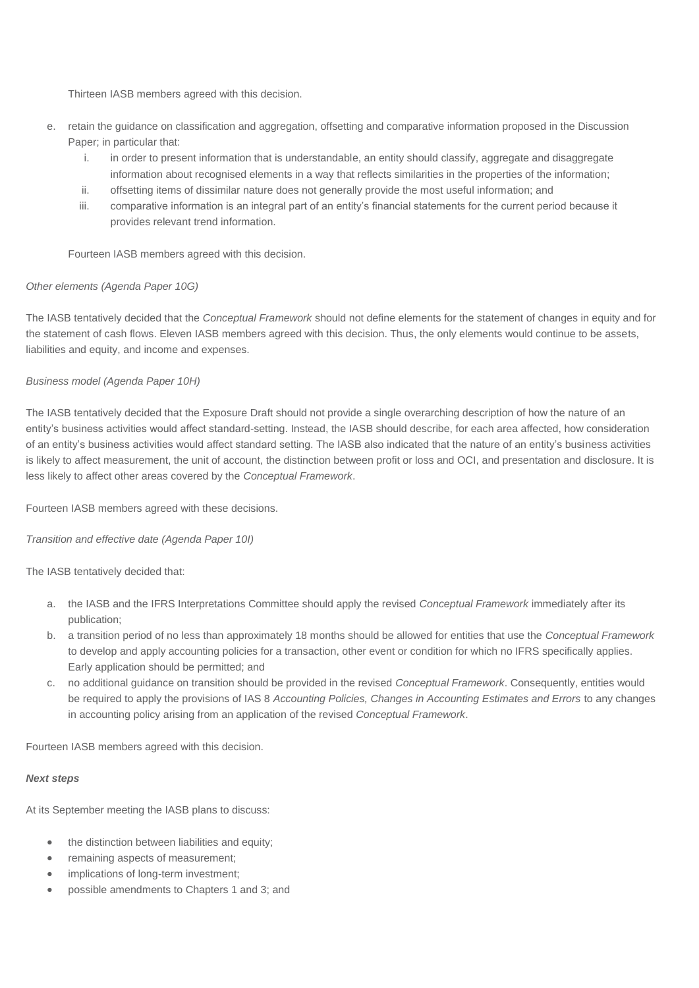Thirteen IASB members agreed with this decision.

- e. retain the guidance on classification and aggregation, offsetting and comparative information proposed in the Discussion Paper; in particular that:
	- i. in order to present information that is understandable, an entity should classify, aggregate and disaggregate information about recognised elements in a way that reflects similarities in the properties of the information;
	- ii. offsetting items of dissimilar nature does not generally provide the most useful information; and
	- iii. comparative information is an integral part of an entity's financial statements for the current period because it provides relevant trend information.

Fourteen IASB members agreed with this decision.

### *Other elements (Agenda Paper 10G)*

The IASB tentatively decided that the *Conceptual Framework* should not define elements for the statement of changes in equity and for the statement of cash flows. Eleven IASB members agreed with this decision. Thus, the only elements would continue to be assets, liabilities and equity, and income and expenses.

### *Business model (Agenda Paper 10H)*

The IASB tentatively decided that the Exposure Draft should not provide a single overarching description of how the nature of an entity's business activities would affect standard-setting. Instead, the IASB should describe, for each area affected, how consideration of an entity's business activities would affect standard setting. The IASB also indicated that the nature of an entity's business activities is likely to affect measurement, the unit of account, the distinction between profit or loss and OCI, and presentation and disclosure. It is less likely to affect other areas covered by the *Conceptual Framework*.

Fourteen IASB members agreed with these decisions.

*Transition and effective date (Agenda Paper 10I)*

The IASB tentatively decided that:

- a. the IASB and the IFRS Interpretations Committee should apply the revised *Conceptual Framework* immediately after its publication;
- b. a transition period of no less than approximately 18 months should be allowed for entities that use the *Conceptual Framework* to develop and apply accounting policies for a transaction, other event or condition for which no IFRS specifically applies. Early application should be permitted; and
- c. no additional guidance on transition should be provided in the revised *Conceptual Framework*. Consequently, entities would be required to apply the provisions of IAS 8 *Accounting Policies, Changes in Accounting Estimates and Errors* to any changes in accounting policy arising from an application of the revised *Conceptual Framework*.

Fourteen IASB members agreed with this decision.

### *Next steps*

At its September meeting the IASB plans to discuss:

- the distinction between liabilities and equity;
- remaining aspects of measurement;
- implications of long-term investment;
- possible amendments to Chapters 1 and 3; and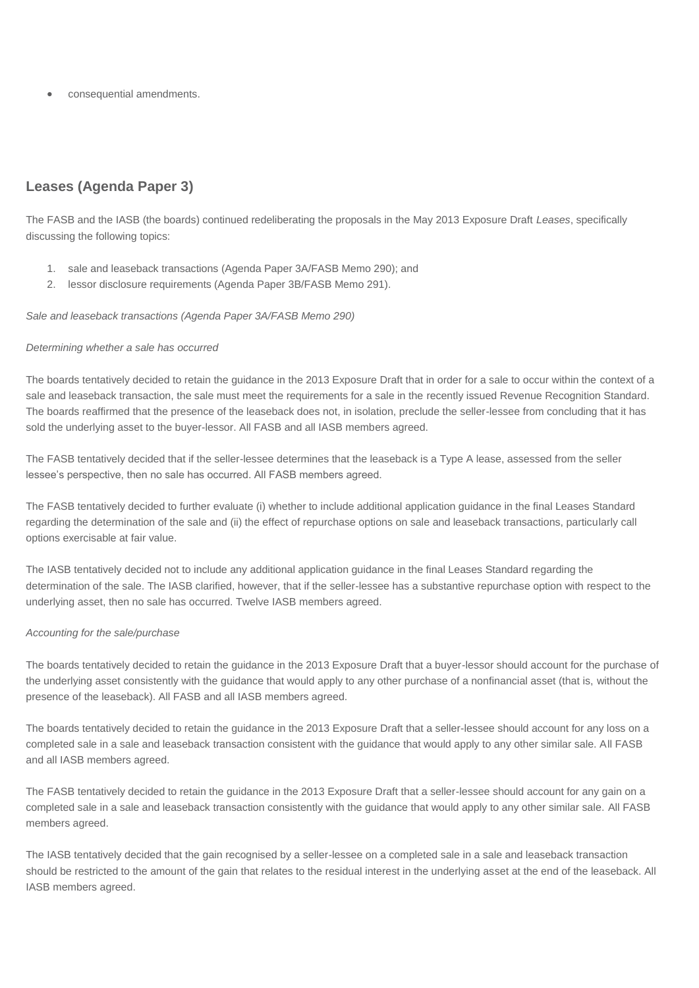consequential amendments.

### <span id="page-10-0"></span>**Leases (Agenda Paper 3)**

The FASB and the IASB (the boards) continued redeliberating the proposals in the May 2013 Exposure Draft *Leases*, specifically discussing the following topics:

- 1. sale and leaseback transactions (Agenda Paper 3A/FASB Memo 290); and
- 2. lessor disclosure requirements (Agenda Paper 3B/FASB Memo 291).

*Sale and leaseback transactions (Agenda Paper 3A/FASB Memo 290)*

### *Determining whether a sale has occurred*

The boards tentatively decided to retain the guidance in the 2013 Exposure Draft that in order for a sale to occur within the context of a sale and leaseback transaction, the sale must meet the requirements for a sale in the recently issued Revenue Recognition Standard. The boards reaffirmed that the presence of the leaseback does not, in isolation, preclude the seller-lessee from concluding that it has sold the underlying asset to the buyer-lessor. All FASB and all IASB members agreed.

The FASB tentatively decided that if the seller-lessee determines that the leaseback is a Type A lease, assessed from the seller lessee's perspective, then no sale has occurred. All FASB members agreed.

The FASB tentatively decided to further evaluate (i) whether to include additional application guidance in the final Leases Standard regarding the determination of the sale and (ii) the effect of repurchase options on sale and leaseback transactions, particularly call options exercisable at fair value.

The IASB tentatively decided not to include any additional application guidance in the final Leases Standard regarding the determination of the sale. The IASB clarified, however, that if the seller-lessee has a substantive repurchase option with respect to the underlying asset, then no sale has occurred. Twelve IASB members agreed.

### *Accounting for the sale/purchase*

The boards tentatively decided to retain the guidance in the 2013 Exposure Draft that a buyer-lessor should account for the purchase of the underlying asset consistently with the guidance that would apply to any other purchase of a nonfinancial asset (that is, without the presence of the leaseback). All FASB and all IASB members agreed.

The boards tentatively decided to retain the guidance in the 2013 Exposure Draft that a seller-lessee should account for any loss on a completed sale in a sale and leaseback transaction consistent with the guidance that would apply to any other similar sale. All FASB and all IASB members agreed.

The FASB tentatively decided to retain the guidance in the 2013 Exposure Draft that a seller-lessee should account for any gain on a completed sale in a sale and leaseback transaction consistently with the guidance that would apply to any other similar sale. All FASB members agreed.

The IASB tentatively decided that the gain recognised by a seller-lessee on a completed sale in a sale and leaseback transaction should be restricted to the amount of the gain that relates to the residual interest in the underlying asset at the end of the leaseback. All IASB members agreed.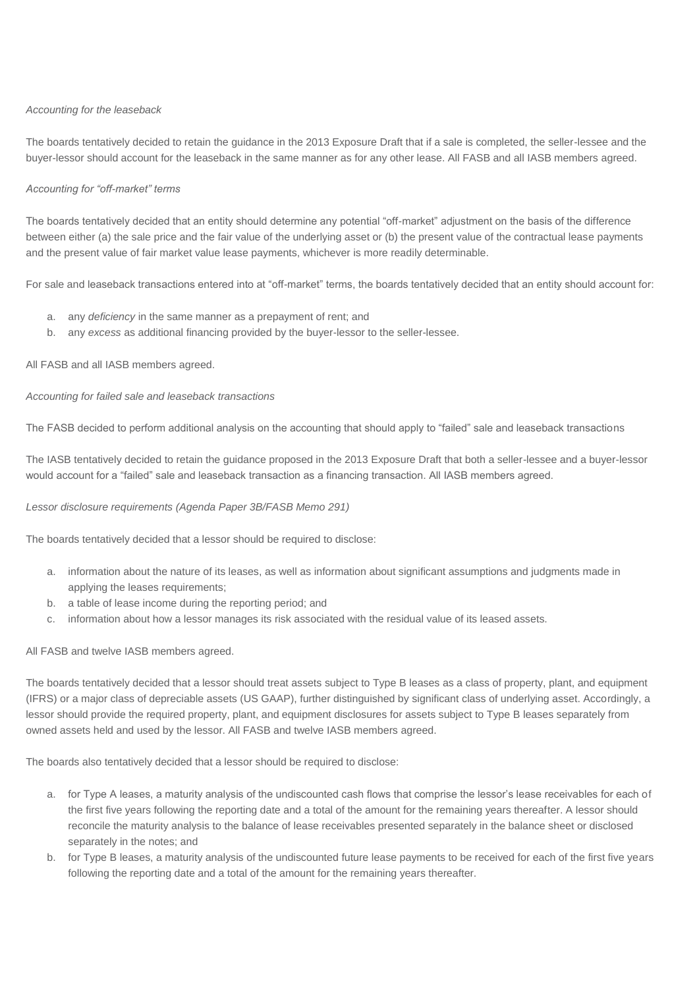### *Accounting for the leaseback*

The boards tentatively decided to retain the guidance in the 2013 Exposure Draft that if a sale is completed, the seller-lessee and the buyer-lessor should account for the leaseback in the same manner as for any other lease. All FASB and all IASB members agreed.

### *Accounting for "off-market" terms*

The boards tentatively decided that an entity should determine any potential "off-market" adjustment on the basis of the difference between either (a) the sale price and the fair value of the underlying asset or (b) the present value of the contractual lease payments and the present value of fair market value lease payments, whichever is more readily determinable.

For sale and leaseback transactions entered into at "off-market" terms, the boards tentatively decided that an entity should account for:

- a. any *deficiency* in the same manner as a prepayment of rent; and
- b. any *excess* as additional financing provided by the buyer-lessor to the seller-lessee.

### All FASB and all IASB members agreed.

### *Accounting for failed sale and leaseback transactions*

The FASB decided to perform additional analysis on the accounting that should apply to "failed" sale and leaseback transactions

The IASB tentatively decided to retain the guidance proposed in the 2013 Exposure Draft that both a seller-lessee and a buyer-lessor would account for a "failed" sale and leaseback transaction as a financing transaction. All IASB members agreed.

### *Lessor disclosure requirements (Agenda Paper 3B/FASB Memo 291)*

The boards tentatively decided that a lessor should be required to disclose:

- a. information about the nature of its leases, as well as information about significant assumptions and judgments made in applying the leases requirements;
- b. a table of lease income during the reporting period; and
- c. information about how a lessor manages its risk associated with the residual value of its leased assets.

### All FASB and twelve IASB members agreed.

The boards tentatively decided that a lessor should treat assets subject to Type B leases as a class of property, plant, and equipment (IFRS) or a major class of depreciable assets (US GAAP), further distinguished by significant class of underlying asset. Accordingly, a lessor should provide the required property, plant, and equipment disclosures for assets subject to Type B leases separately from owned assets held and used by the lessor. All FASB and twelve IASB members agreed.

The boards also tentatively decided that a lessor should be required to disclose:

- a. for Type A leases, a maturity analysis of the undiscounted cash flows that comprise the lessor's lease receivables for each of the first five years following the reporting date and a total of the amount for the remaining years thereafter. A lessor should reconcile the maturity analysis to the balance of lease receivables presented separately in the balance sheet or disclosed separately in the notes; and
- b. for Type B leases, a maturity analysis of the undiscounted future lease payments to be received for each of the first five years following the reporting date and a total of the amount for the remaining years thereafter.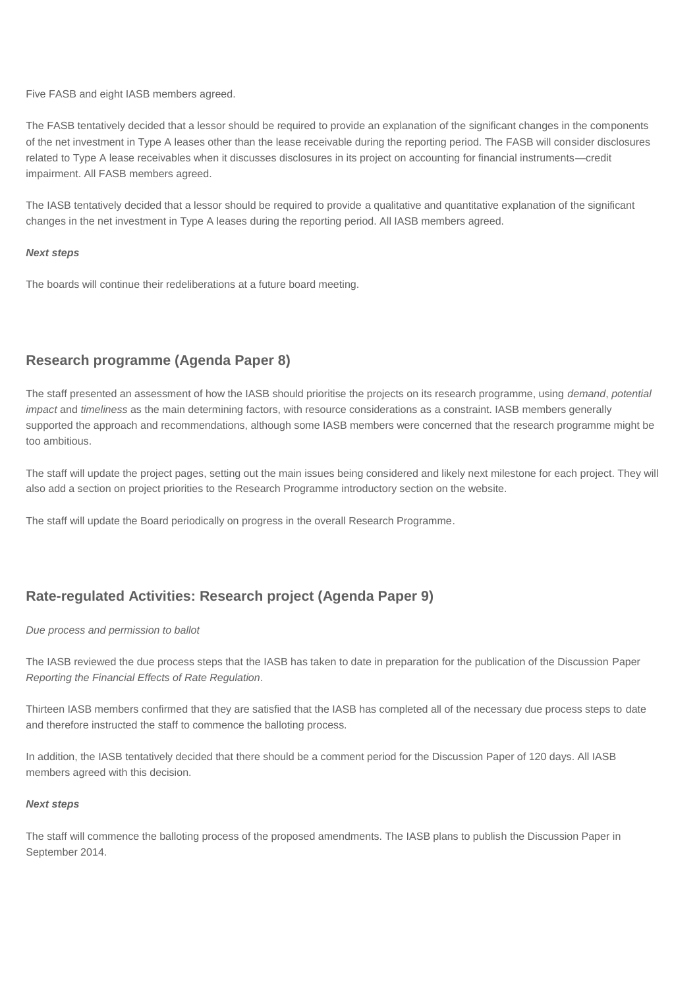Five FASB and eight IASB members agreed.

The FASB tentatively decided that a lessor should be required to provide an explanation of the significant changes in the components of the net investment in Type A leases other than the lease receivable during the reporting period. The FASB will consider disclosures related to Type A lease receivables when it discusses disclosures in its project on accounting for financial instruments—credit impairment. All FASB members agreed.

The IASB tentatively decided that a lessor should be required to provide a qualitative and quantitative explanation of the significant changes in the net investment in Type A leases during the reporting period. All IASB members agreed.

### *Next steps*

The boards will continue their redeliberations at a future board meeting.

### <span id="page-12-0"></span>**Research programme (Agenda Paper 8)**

The staff presented an assessment of how the IASB should prioritise the projects on its research programme, using *demand*, *potential impact* and *timeliness* as the main determining factors, with resource considerations as a constraint. IASB members generally supported the approach and recommendations, although some IASB members were concerned that the research programme might be too ambitious.

The staff will update the project pages, setting out the main issues being considered and likely next milestone for each project. They will also add a section on project priorities to the Research Programme introductory section on the website.

The staff will update the Board periodically on progress in the overall Research Programme.

### <span id="page-12-1"></span>**Rate-regulated Activities: Research project (Agenda Paper 9)**

### *Due process and permission to ballot*

The IASB reviewed the due process steps that the IASB has taken to date in preparation for the publication of the Discussion Paper *Reporting the Financial Effects of Rate Regulation*.

Thirteen IASB members confirmed that they are satisfied that the IASB has completed all of the necessary due process steps to date and therefore instructed the staff to commence the balloting process.

In addition, the IASB tentatively decided that there should be a comment period for the Discussion Paper of 120 days. All IASB members agreed with this decision.

### *Next steps*

The staff will commence the balloting process of the proposed amendments. The IASB plans to publish the Discussion Paper in September 2014.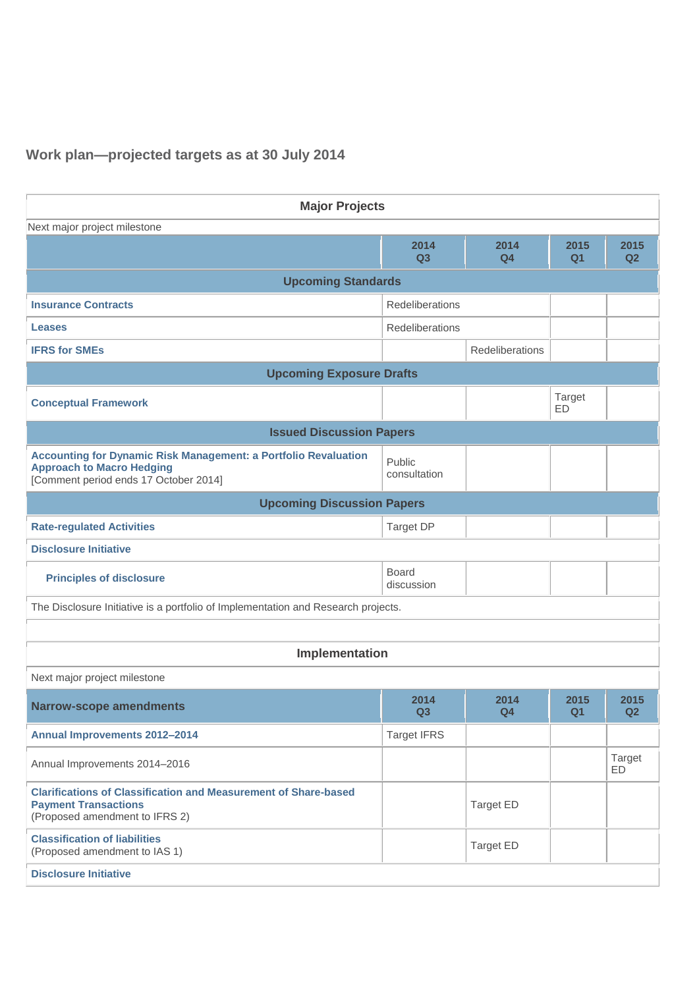# **Work plan—projected targets as at 30 July 2014**

| <b>Major Projects</b>                                                                                                                               |                            |                        |                        |                        |  |  |
|-----------------------------------------------------------------------------------------------------------------------------------------------------|----------------------------|------------------------|------------------------|------------------------|--|--|
| Next major project milestone                                                                                                                        |                            |                        |                        |                        |  |  |
|                                                                                                                                                     | 2014<br>Q3                 | 2014<br>Q <sub>4</sub> | 2015<br>Q <sub>1</sub> | 2015<br>Q2             |  |  |
| <b>Upcoming Standards</b>                                                                                                                           |                            |                        |                        |                        |  |  |
| <b>Insurance Contracts</b>                                                                                                                          | Redeliberations            |                        |                        |                        |  |  |
| <b>Leases</b>                                                                                                                                       | Redeliberations            |                        |                        |                        |  |  |
| <b>IFRS for SMEs</b>                                                                                                                                |                            | Redeliberations        |                        |                        |  |  |
| <b>Upcoming Exposure Drafts</b>                                                                                                                     |                            |                        |                        |                        |  |  |
| <b>Conceptual Framework</b>                                                                                                                         |                            |                        | <b>Target</b><br>ED    |                        |  |  |
| <b>Issued Discussion Papers</b>                                                                                                                     |                            |                        |                        |                        |  |  |
| <b>Accounting for Dynamic Risk Management: a Portfolio Revaluation</b><br><b>Approach to Macro Hedging</b><br>[Comment period ends 17 October 2014] | Public<br>consultation     |                        |                        |                        |  |  |
| <b>Upcoming Discussion Papers</b>                                                                                                                   |                            |                        |                        |                        |  |  |
| <b>Rate-regulated Activities</b>                                                                                                                    | Target DP                  |                        |                        |                        |  |  |
| <b>Disclosure Initiative</b>                                                                                                                        |                            |                        |                        |                        |  |  |
| <b>Principles of disclosure</b>                                                                                                                     | <b>Board</b><br>discussion |                        |                        |                        |  |  |
| The Disclosure Initiative is a portfolio of Implementation and Research projects.                                                                   |                            |                        |                        |                        |  |  |
|                                                                                                                                                     |                            |                        |                        |                        |  |  |
| Implementation                                                                                                                                      |                            |                        |                        |                        |  |  |
| Next major project milestone                                                                                                                        |                            |                        |                        |                        |  |  |
| <b>Narrow-scope amendments</b>                                                                                                                      | 2014<br>Q <sub>3</sub>     | 2014<br>Q <sub>4</sub> | 2015<br>Q1             | 2015<br>Q <sub>2</sub> |  |  |
| <b>Annual Improvements 2012-2014</b>                                                                                                                | <b>Target IFRS</b>         |                        |                        |                        |  |  |
| Annual Improvements 2014-2016                                                                                                                       |                            |                        |                        | Target<br><b>ED</b>    |  |  |
| <b>Clarifications of Classification and Measurement of Share-based</b><br><b>Payment Transactions</b><br>(Proposed amendment to IFRS 2)             |                            | Target ED              |                        |                        |  |  |
| <b>Classification of liabilities</b><br>(Proposed amendment to IAS 1)                                                                               |                            | <b>Target ED</b>       |                        |                        |  |  |
| <b>Disclosure Initiative</b>                                                                                                                        |                            |                        |                        |                        |  |  |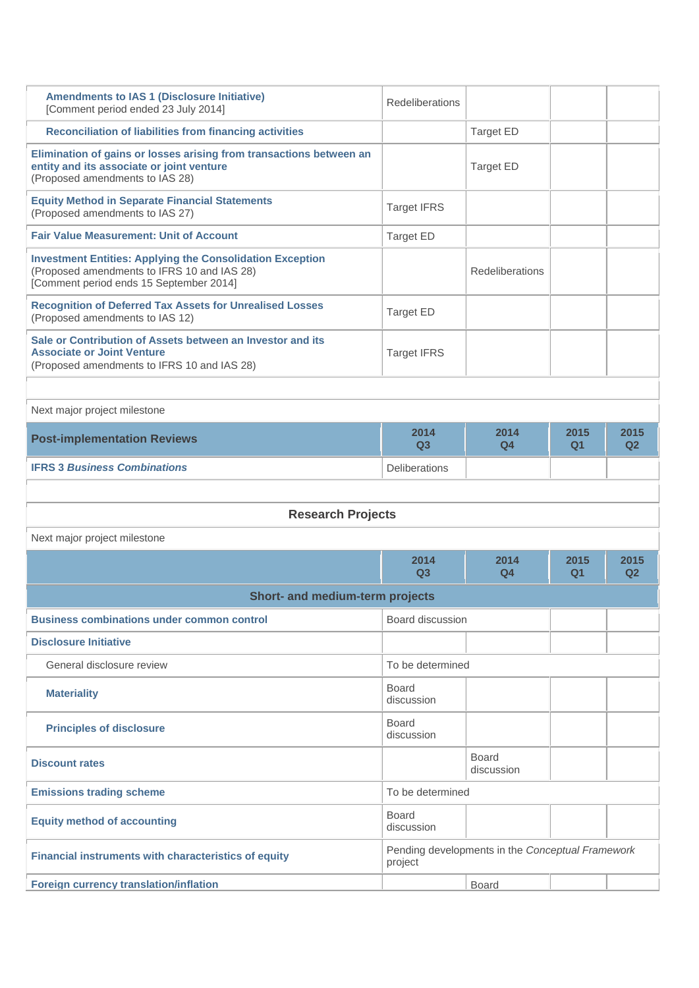| <b>Amendments to IAS 1 (Disclosure Initiative)</b><br>[Comment period ended 23 July 2014]                                                                  | <b>Redeliberations</b>     |                                                  |            |            |
|------------------------------------------------------------------------------------------------------------------------------------------------------------|----------------------------|--------------------------------------------------|------------|------------|
| <b>Reconciliation of liabilities from financing activities</b>                                                                                             |                            | Target ED                                        |            |            |
| Elimination of gains or losses arising from transactions between an<br>entity and its associate or joint venture<br>(Proposed amendments to IAS 28)        |                            | <b>Target ED</b>                                 |            |            |
| <b>Equity Method in Separate Financial Statements</b><br>(Proposed amendments to IAS 27)                                                                   | <b>Target IFRS</b>         |                                                  |            |            |
| <b>Fair Value Measurement: Unit of Account</b>                                                                                                             | <b>Target ED</b>           |                                                  |            |            |
| <b>Investment Entities: Applying the Consolidation Exception</b><br>(Proposed amendments to IFRS 10 and IAS 28)<br>[Comment period ends 15 September 2014] |                            | Redeliberations                                  |            |            |
| <b>Recognition of Deferred Tax Assets for Unrealised Losses</b><br>(Proposed amendments to IAS 12)                                                         | <b>Target ED</b>           |                                                  |            |            |
| Sale or Contribution of Assets between an Investor and its<br><b>Associate or Joint Venture</b><br>(Proposed amendments to IFRS 10 and IAS 28)             | <b>Target IFRS</b>         |                                                  |            |            |
|                                                                                                                                                            |                            |                                                  |            |            |
| Next major project milestone                                                                                                                               |                            |                                                  |            |            |
| <b>Post-implementation Reviews</b>                                                                                                                         | 2014<br>Q3                 | 2014<br>Q4                                       | 2015<br>Q1 | 2015<br>Q2 |
| <b>IFRS 3 Business Combinations</b>                                                                                                                        | <b>Deliberations</b>       |                                                  |            |            |
|                                                                                                                                                            |                            |                                                  |            |            |
|                                                                                                                                                            |                            |                                                  |            |            |
| <b>Research Projects</b>                                                                                                                                   |                            |                                                  |            |            |
| Next major project milestone                                                                                                                               |                            |                                                  |            |            |
|                                                                                                                                                            | 2014<br>Q3                 | 2014<br>Q4                                       | 2015<br>Q1 | 2015<br>Q2 |
| Short- and medium-term projects                                                                                                                            |                            |                                                  |            |            |
| <b>Business combinations under common control</b>                                                                                                          | Board discussion           |                                                  |            |            |
| <b>Disclosure Initiative</b>                                                                                                                               |                            |                                                  |            |            |
| General disclosure review                                                                                                                                  | To be determined           |                                                  |            |            |
| <b>Materiality</b>                                                                                                                                         | <b>Board</b><br>discussion |                                                  |            |            |
| <b>Principles of disclosure</b>                                                                                                                            | <b>Board</b><br>discussion |                                                  |            |            |
| <b>Discount rates</b>                                                                                                                                      |                            | <b>Board</b><br>discussion                       |            |            |
| <b>Emissions trading scheme</b>                                                                                                                            | To be determined           |                                                  |            |            |
| <b>Equity method of accounting</b>                                                                                                                         | <b>Board</b><br>discussion |                                                  |            |            |
| Financial instruments with characteristics of equity                                                                                                       | project                    | Pending developments in the Conceptual Framework |            |            |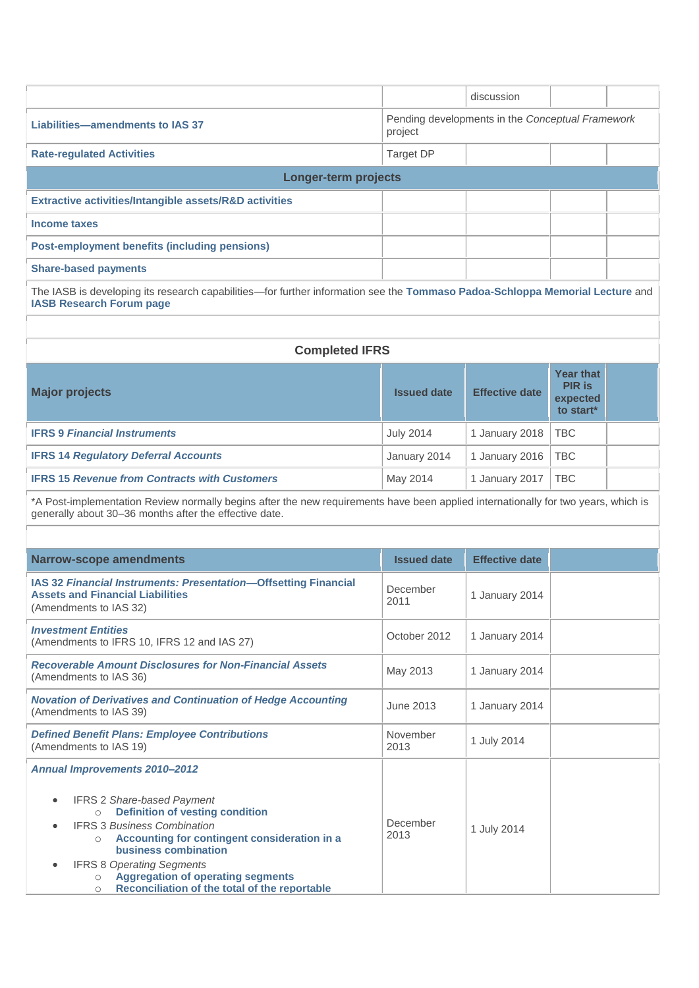|                                                                                                                                                                                                                                                                                                                                                                                                                                                       |                                                             | discussion            |                                                     |  |  |  |
|-------------------------------------------------------------------------------------------------------------------------------------------------------------------------------------------------------------------------------------------------------------------------------------------------------------------------------------------------------------------------------------------------------------------------------------------------------|-------------------------------------------------------------|-----------------------|-----------------------------------------------------|--|--|--|
| <b>Liabilities-amendments to IAS 37</b>                                                                                                                                                                                                                                                                                                                                                                                                               | Pending developments in the Conceptual Framework<br>project |                       |                                                     |  |  |  |
| <b>Rate-regulated Activities</b>                                                                                                                                                                                                                                                                                                                                                                                                                      | Target DP                                                   |                       |                                                     |  |  |  |
| <b>Longer-term projects</b>                                                                                                                                                                                                                                                                                                                                                                                                                           |                                                             |                       |                                                     |  |  |  |
| Extractive activities/Intangible assets/R&D activities                                                                                                                                                                                                                                                                                                                                                                                                |                                                             |                       |                                                     |  |  |  |
| Income taxes                                                                                                                                                                                                                                                                                                                                                                                                                                          |                                                             |                       |                                                     |  |  |  |
| <b>Post-employment benefits (including pensions)</b>                                                                                                                                                                                                                                                                                                                                                                                                  |                                                             |                       |                                                     |  |  |  |
| <b>Share-based payments</b>                                                                                                                                                                                                                                                                                                                                                                                                                           |                                                             |                       |                                                     |  |  |  |
| The IASB is developing its research capabilities—for further information see the Tommaso Padoa-Schloppa Memorial Lecture and<br><b>IASB Research Forum page</b>                                                                                                                                                                                                                                                                                       |                                                             |                       |                                                     |  |  |  |
|                                                                                                                                                                                                                                                                                                                                                                                                                                                       |                                                             |                       |                                                     |  |  |  |
| <b>Completed IFRS</b>                                                                                                                                                                                                                                                                                                                                                                                                                                 |                                                             |                       |                                                     |  |  |  |
| <b>Major projects</b>                                                                                                                                                                                                                                                                                                                                                                                                                                 | <b>Issued date</b>                                          | <b>Effective date</b> | Year that<br><b>PIR is</b><br>expected<br>to start* |  |  |  |
| <b>IFRS 9 Financial Instruments</b>                                                                                                                                                                                                                                                                                                                                                                                                                   | <b>July 2014</b>                                            | 1 January 2018        | <b>TBC</b>                                          |  |  |  |
| <b>IFRS 14 Regulatory Deferral Accounts</b>                                                                                                                                                                                                                                                                                                                                                                                                           | January 2014                                                | 1 January 2016        | <b>TBC</b>                                          |  |  |  |
| <b>IFRS 15 Revenue from Contracts with Customers</b>                                                                                                                                                                                                                                                                                                                                                                                                  | May 2014                                                    | 1 January 2017        | <b>TBC</b>                                          |  |  |  |
| *A Post-implementation Review normally begins after the new requirements have been applied internationally for two years, which is<br>generally about 30-36 months after the effective date.                                                                                                                                                                                                                                                          |                                                             |                       |                                                     |  |  |  |
|                                                                                                                                                                                                                                                                                                                                                                                                                                                       |                                                             |                       |                                                     |  |  |  |
| <b>Narrow-scope amendments</b>                                                                                                                                                                                                                                                                                                                                                                                                                        | <b>Issued date</b>                                          | <b>Effective date</b> |                                                     |  |  |  |
| IAS 32 Financial Instruments: Presentation-Offsetting Financial<br><b>Assets and Financial Liabilities</b><br>(Amendments to IAS 32)                                                                                                                                                                                                                                                                                                                  | December<br>2011                                            | 1 January 2014        |                                                     |  |  |  |
| <b>Investment Entities</b><br>(Amendments to IFRS 10, IFRS 12 and IAS 27)                                                                                                                                                                                                                                                                                                                                                                             | October 2012                                                | 1 January 2014        |                                                     |  |  |  |
| <b>Recoverable Amount Disclosures for Non-Financial Assets</b><br>(Amendments to IAS 36)                                                                                                                                                                                                                                                                                                                                                              | May 2013                                                    | 1 January 2014        |                                                     |  |  |  |
| <b>Novation of Derivatives and Continuation of Hedge Accounting</b><br>(Amendments to IAS 39)                                                                                                                                                                                                                                                                                                                                                         | <b>June 2013</b>                                            | 1 January 2014        |                                                     |  |  |  |
| <b>Defined Benefit Plans: Employee Contributions</b><br>(Amendments to IAS 19)                                                                                                                                                                                                                                                                                                                                                                        | November<br>2013                                            | 1 July 2014           |                                                     |  |  |  |
| <b>Annual Improvements 2010-2012</b><br><b>IFRS 2 Share-based Payment</b><br>$\bullet$<br><b>Definition of vesting condition</b><br>$\circ$<br><b>IFRS 3 Business Combination</b><br>$\bullet$<br>Accounting for contingent consideration in a<br>$\circ$<br>business combination<br><b>IFRS 8 Operating Segments</b><br>$\bullet$<br><b>Aggregation of operating segments</b><br>$\circ$<br>Reconciliation of the total of the reportable<br>$\circ$ | December<br>2013                                            | 1 July 2014           |                                                     |  |  |  |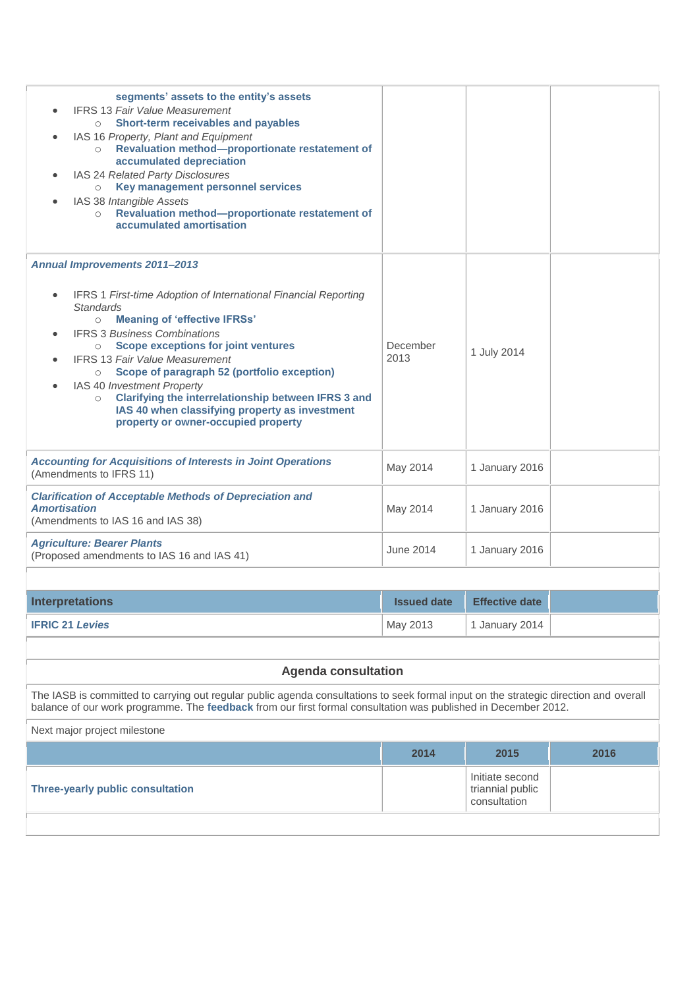| segments' assets to the entity's assets<br><b>IFRS 13 Fair Value Measurement</b><br>Short-term receivables and payables<br>$\circ$<br>IAS 16 Property, Plant and Equipment<br>Revaluation method-proportionate restatement of<br>$\circ$<br>accumulated depreciation<br>IAS 24 Related Party Disclosures<br>Key management personnel services<br>$\circ$<br>IAS 38 Intangible Assets<br>Revaluation method-proportionate restatement of<br>$\circ$<br>accumulated amortisation                                                                                                                |                    |                                     |      |  |  |
|-----------------------------------------------------------------------------------------------------------------------------------------------------------------------------------------------------------------------------------------------------------------------------------------------------------------------------------------------------------------------------------------------------------------------------------------------------------------------------------------------------------------------------------------------------------------------------------------------|--------------------|-------------------------------------|------|--|--|
| <b>Annual Improvements 2011-2013</b><br><b>IFRS 1 First-time Adoption of International Financial Reporting</b><br>$\bullet$<br><b>Standards</b><br><b>Meaning of 'effective IFRSs'</b><br>$\circ$<br><b>IFRS 3 Business Combinations</b><br><b>Scope exceptions for joint ventures</b><br>$\circ$<br><b>IFRS 13 Fair Value Measurement</b><br>Scope of paragraph 52 (portfolio exception)<br>$\circ$<br>IAS 40 Investment Property<br>Clarifying the interrelationship between IFRS 3 and<br>$\circ$<br>IAS 40 when classifying property as investment<br>property or owner-occupied property | December<br>2013   | 1 July 2014                         |      |  |  |
| <b>Accounting for Acquisitions of Interests in Joint Operations</b><br>(Amendments to IFRS 11)                                                                                                                                                                                                                                                                                                                                                                                                                                                                                                | May 2014           | 1 January 2016                      |      |  |  |
| <b>Clarification of Acceptable Methods of Depreciation and</b><br><b>Amortisation</b><br>(Amendments to IAS 16 and IAS 38)                                                                                                                                                                                                                                                                                                                                                                                                                                                                    | May 2014           | 1 January 2016                      |      |  |  |
| <b>Agriculture: Bearer Plants</b><br>(Proposed amendments to IAS 16 and IAS 41)                                                                                                                                                                                                                                                                                                                                                                                                                                                                                                               | June 2014          | 1 January 2016                      |      |  |  |
|                                                                                                                                                                                                                                                                                                                                                                                                                                                                                                                                                                                               |                    |                                     |      |  |  |
| <b>Interpretations</b>                                                                                                                                                                                                                                                                                                                                                                                                                                                                                                                                                                        | <b>Issued date</b> | <b>Effective date</b>               |      |  |  |
| <b>IFRIC 21 Levies</b>                                                                                                                                                                                                                                                                                                                                                                                                                                                                                                                                                                        | May 2013           | 1 January 2014                      |      |  |  |
|                                                                                                                                                                                                                                                                                                                                                                                                                                                                                                                                                                                               |                    |                                     |      |  |  |
| <b>Agenda consultation</b>                                                                                                                                                                                                                                                                                                                                                                                                                                                                                                                                                                    |                    |                                     |      |  |  |
| The IASB is committed to carrying out regular public agenda consultations to seek formal input on the strategic direction and overall<br>balance of our work programme. The feedback from our first formal consultation was published in December 2012.                                                                                                                                                                                                                                                                                                                                       |                    |                                     |      |  |  |
| Next major project milestone                                                                                                                                                                                                                                                                                                                                                                                                                                                                                                                                                                  |                    |                                     |      |  |  |
|                                                                                                                                                                                                                                                                                                                                                                                                                                                                                                                                                                                               | 2014               | 2015                                | 2016 |  |  |
| <b>Three-yearly public consultation</b>                                                                                                                                                                                                                                                                                                                                                                                                                                                                                                                                                       |                    | Initiate second<br>triannial public |      |  |  |

consultation